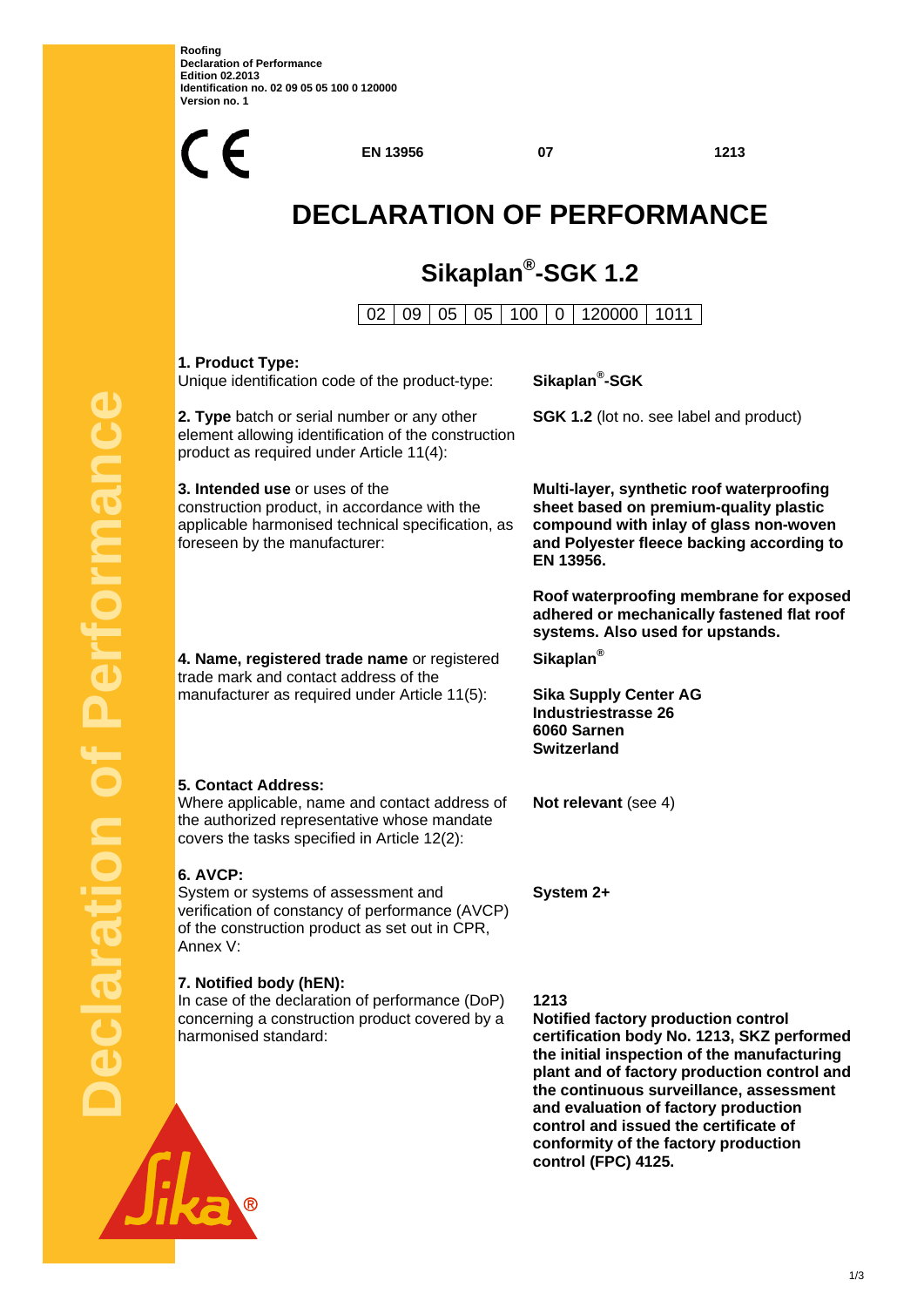**Roofing Declaration of Performance Edition 02.2013 Identification no. 02 09 05 05 100 0 120000 Version no. 1** 



**control (FPC) 4125.**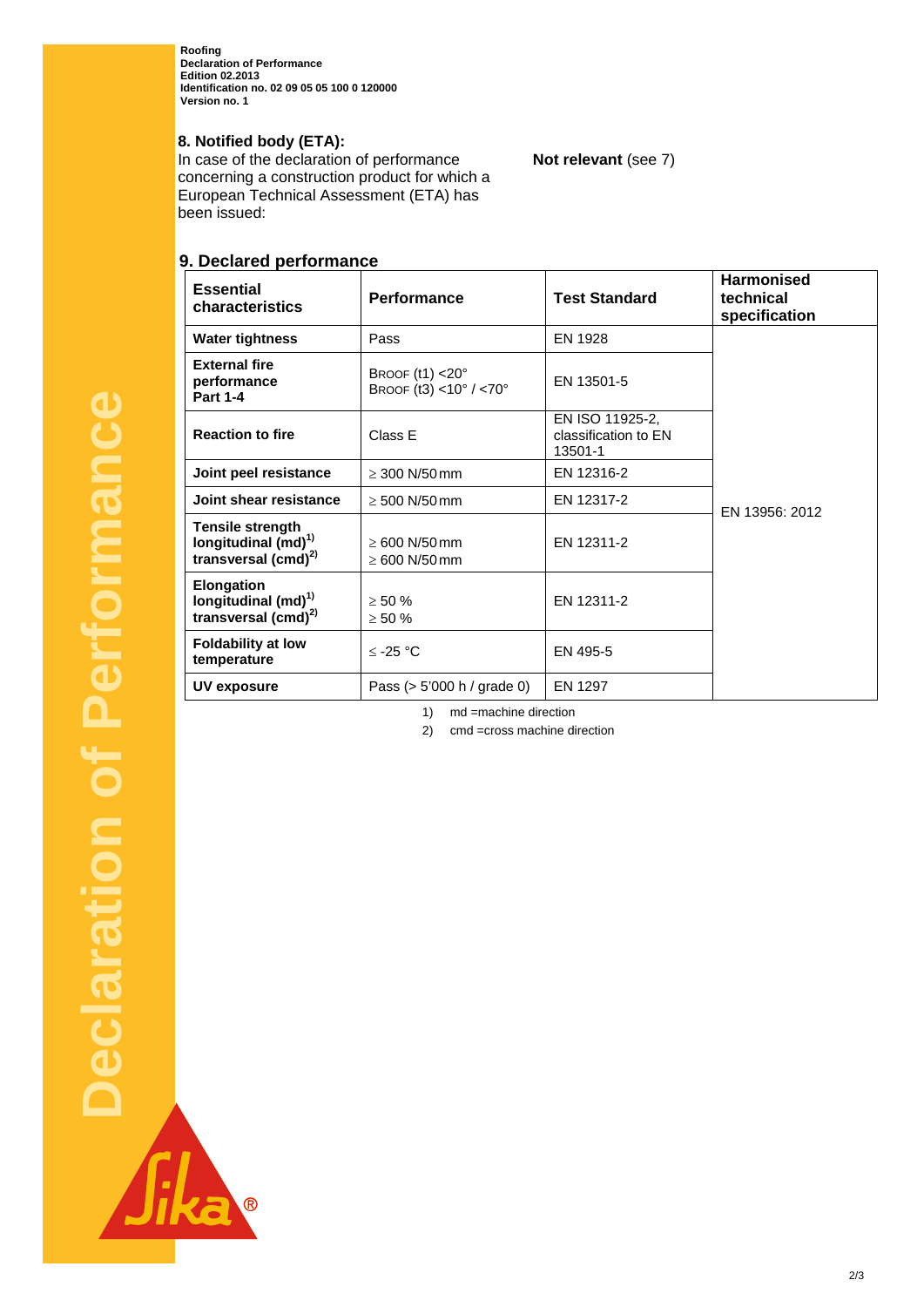**Roofing Declaration of Performance Edition 02.2013 Identification no. 02 09 05 05 100 0 120000 Version no. 1** 

## **8. Notified body (ETA):**

In case of the declaration of performance concerning a construction product for which a European Technical Assessment (ETA) has been issued:

# **9. Declared performance**

| <b>Essential</b><br>characteristics                                                     | Performance                                       | <b>Test Standard</b>                               | <b>Harmonised</b><br>technical<br>specification |
|-----------------------------------------------------------------------------------------|---------------------------------------------------|----------------------------------------------------|-------------------------------------------------|
| <b>Water tightness</b>                                                                  | Pass                                              | EN 1928                                            | EN 13956: 2012                                  |
| <b>External fire</b><br>performance<br><b>Part 1-4</b>                                  | BROOF $(t1) < 20^\circ$<br>BROOF (t3) <10° / <70° | EN 13501-5                                         |                                                 |
| <b>Reaction to fire</b>                                                                 | Class E                                           | EN ISO 11925-2,<br>classification to EN<br>13501-1 |                                                 |
| Joint peel resistance                                                                   | $\geq$ 300 N/50 mm                                | EN 12316-2                                         |                                                 |
| Joint shear resistance                                                                  | $\geq 500$ N/50 mm                                | EN 12317-2                                         |                                                 |
| <b>Tensile strength</b><br>longitudinal $(md)^{1}$<br>transversal $(cmd)^{2}$           | $\geq 600$ N/50 mm<br>$\geq 600$ N/50 mm          | EN 12311-2                                         |                                                 |
| <b>Elongation</b><br>longitudinal (md) <sup>1)</sup><br>transversal (cmd) <sup>2)</sup> | $\geq 50 \%$<br>$\geq 50 \%$                      | EN 12311-2                                         |                                                 |
| <b>Foldability at low</b><br>temperature                                                | $≤ -25 °C$                                        | EN 495-5                                           |                                                 |
| UV exposure                                                                             | Pass $(> 5'000 h / \text{grade } 0)$              | EN 1297                                            |                                                 |

**Not relevant** (see 7)

1) md =machine direction

2) cmd =cross machine direction

Sika

O